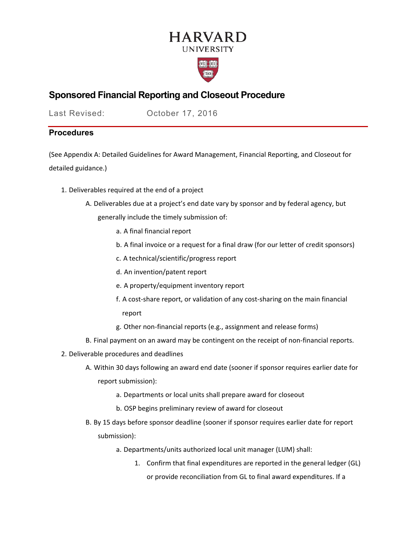# **HARVARD UNIVERSITY**



## **Sponsored Financial Reporting and Closeout Procedure**

Last Revised: October 17, 2016

## **Procedures**

(See [Appendix A: Detailed Guidelines for Award Management, Financial Reporting, and Closeout](#page-3-0) for detailed guidance.)

- 1. Deliverables required at the end of a project
	- A. Deliverables due at a project's end date vary by sponsor and by federal agency, but generally include the timely submission of:
		- a. A final financial report
		- b. A final invoice or a request for a final draw (for our letter of credit sponsors)
		- c. A technical/scientific/progress report
		- d. An invention/patent report
		- e. A property/equipment inventory report
		- f. A cost-share report, or validation of any cost-sharing on the main financial report
		- g. Other non‐financial reports (e.g., assignment and release forms)
	- B. Final payment on an award may be contingent on the receipt of non‐financial reports.
- 2. Deliverable procedures and deadlines
	- A. Within 30 days following an award end date (sooner if sponsor requires earlier date for report submission):
		- a. Departments or local units shall prepare award for closeout
		- b. OSP begins preliminary review of award for closeout
	- B. By 15 days before sponsor deadline (sooner if sponsor requires earlier date for report submission):
		- a. Departments/units authorized local unit manager (LUM) shall:
			- 1. Confirm that final expenditures are reported in the general ledger (GL) or provide reconciliation from GL to final award expenditures. If a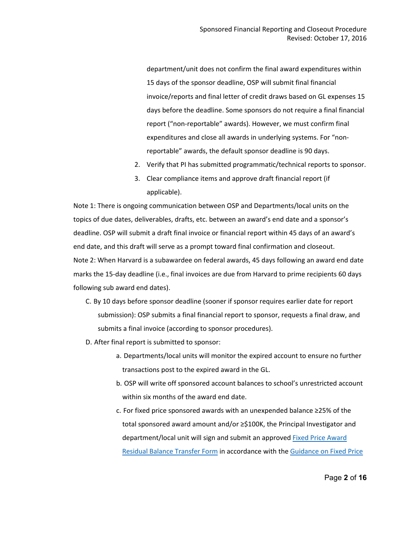department/unit does not confirm the final award expenditures within 15 days of the sponsor deadline, OSP will submit final financial invoice/reports and final letter of credit draws based on GL expenses 15 days before the deadline. Some sponsors do not require a final financial report ("non‐reportable" awards). However, we must confirm final expenditures and close all awards in underlying systems. For "non‐ reportable" awards, the default sponsor deadline is 90 days.

- 2. Verify that PI has submitted programmatic/technical reports to sponsor.
- 3. Clear compliance items and approve draft financial report (if applicable).

Note 1: There is ongoing communication between OSP and Departments/local units on the topics of due dates, deliverables, drafts, etc. between an award's end date and a sponsor's deadline. OSP will submit a draft final invoice or financial report within 45 days of an award's end date, and this draft will serve as a prompt toward final confirmation and closeout. Note 2: When Harvard is a subawardee on federal awards, 45 days following an award end date marks the 15‐day deadline (i.e., final invoices are due from Harvard to prime recipients 60 days following sub award end dates).

- C. By 10 days before sponsor deadline (sooner if sponsor requires earlier date for report submission): OSP submits a final financial report to sponsor, requests a final draw, and submits a final invoice (according to sponsor procedures).
- D. After final report is submitted to sponsor:
	- a. Departments/local units will monitor the expired account to ensure no further transactions post to the expired award in the GL.
	- b. OSP will write off sponsored account balances to school's unrestricted account within six months of the award end date.
	- c. For fixed price sponsored awards with an unexpended balance ≥25% of the total sponsored award amount and/or ≥\$100K, the Principal Investigator and department/local unit will sign and submit an approved [Fixed Price Award](https://osp.finance.harvard.edu/files/fixed_price_award_residual_balance_transfer_form_october_2020.pdf)  [Residual Balance Transfer Form](https://osp.finance.harvard.edu/files/fixed_price_award_residual_balance_transfer_form_october_2020.pdf) in accordance with the [Guidance on Fixed Price](https://osp.finance.harvard.edu/guidance-fixed-price-sponsored-awards)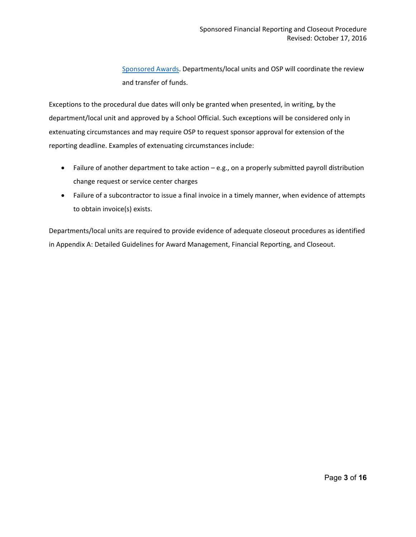[Sponsored Awards.](https://osp.finance.harvard.edu/guidance-fixed-price-sponsored-awards) Departments/local units and OSP will coordinate the review and transfer of funds.

Exceptions to the procedural due dates will only be granted when presented, in writing, by the department/local unit and approved by a School Official. Such exceptions will be considered only in extenuating circumstances and may require OSP to request sponsor approval for extension of the reporting deadline. Examples of extenuating circumstances include:

- Failure of another department to take action e.g., on a properly submitted payroll distribution change request or service center charges
- Failure of a subcontractor to issue a final invoice in a timely manner, when evidence of attempts to obtain invoice(s) exists.

Departments/local units are required to provide evidence of adequate closeout procedures as identified in [Appendix A: Detailed Guidelines for Award Management, Financial Reporting, and Closeout.](#page-3-0)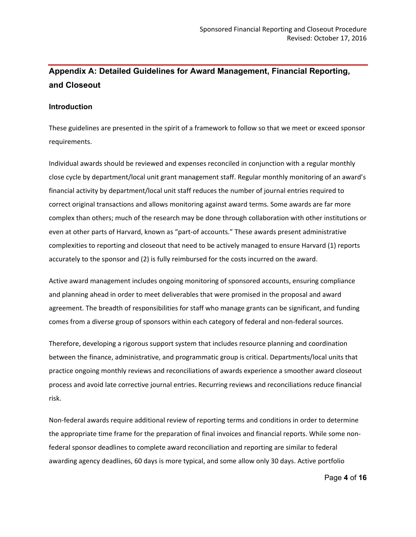# <span id="page-3-0"></span>**Appendix A: Detailed Guidelines for Award Management, Financial Reporting, and Closeout**

#### **Introduction**

These guidelines are presented in the spirit of a framework to follow so that we meet or exceed sponsor requirements.

Individual awards should be reviewed and expenses reconciled in conjunction with a regular monthly close cycle by department/local unit grant management staff. Regular monthly monitoring of an award's financial activity by department/local unit staff reduces the number of journal entries required to correct original transactions and allows monitoring against award terms. Some awards are far more complex than others; much of the research may be done through collaboration with other institutions or even at other parts of Harvard, known as "part‐of accounts." These awards present administrative complexities to reporting and closeout that need to be actively managed to ensure Harvard (1) reports accurately to the sponsor and (2) is fully reimbursed for the costs incurred on the award.

Active award management includes ongoing monitoring of sponsored accounts, ensuring compliance and planning ahead in order to meet deliverables that were promised in the proposal and award agreement. The breadth of responsibilities for staff who manage grants can be significant, and funding comes from a diverse group of sponsors within each category of federal and non-federal sources.

Therefore, developing a rigorous support system that includes resource planning and coordination between the finance, administrative, and programmatic group is critical. Departments/local units that practice ongoing monthly reviews and reconciliations of awards experience a smoother award closeout process and avoid late corrective journal entries. Recurring reviews and reconciliations reduce financial risk.

Non‐federal awards require additional review of reporting terms and conditions in order to determine the appropriate time frame for the preparation of final invoices and financial reports. While some non‐ federal sponsor deadlines to complete award reconciliation and reporting are similar to federal awarding agency deadlines, 60 days is more typical, and some allow only 30 days. Active portfolio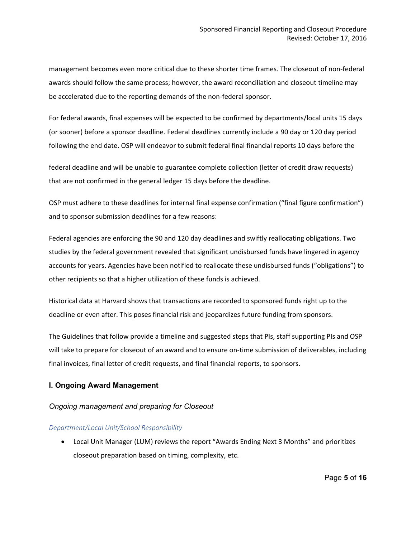management becomes even more critical due to these shorter time frames. The closeout of non‐federal awards should follow the same process; however, the award reconciliation and closeout timeline may be accelerated due to the reporting demands of the non-federal sponsor.

For federal awards, final expenses will be expected to be confirmed by departments/local units 15 days (or sooner) before a sponsor deadline. Federal deadlines currently include a 90 day or 120 day period following the end date. OSP will endeavor to submit federal final financial reports 10 days before the

federal deadline and will be unable to guarantee complete collection (letter of credit draw requests) that are not confirmed in the general ledger 15 days before the deadline.

OSP must adhere to these deadlines for internal final expense confirmation ("final figure confirmation") and to sponsor submission deadlines for a few reasons:

Federal agencies are enforcing the 90 and 120 day deadlines and swiftly reallocating obligations. Two studies by the federal government revealed that significant undisbursed funds have lingered in agency accounts for years. Agencies have been notified to reallocate these undisbursed funds ("obligations") to other recipients so that a higher utilization of these funds is achieved.

Historical data at Harvard shows that transactions are recorded to sponsored funds right up to the deadline or even after. This poses financial risk and jeopardizes future funding from sponsors.

The Guidelines that follow provide a timeline and suggested steps that PIs, staff supporting PIs and OSP will take to prepare for closeout of an award and to ensure on-time submission of deliverables, including final invoices, final letter of credit requests, and final financial reports, to sponsors.

### **I. Ongoing Award Management**

### *Ongoing management and preparing for Closeout*

### *Department/Local Unit/School Responsibility*

• Local Unit Manager (LUM) reviews the report "Awards Ending Next 3 Months" and prioritizes closeout preparation based on timing, complexity, etc.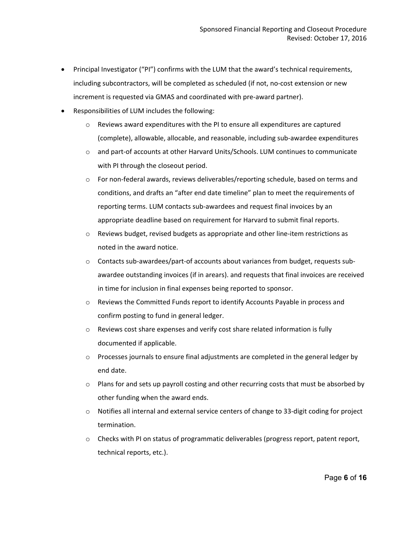- Principal Investigator ("PI") confirms with the LUM that the award's technical requirements, including subcontractors, will be completed as scheduled (if not, no-cost extension or new increment is requested via GMAS and coordinated with pre-award partner).
- Responsibilities of LUM includes the following:
	- $\circ$  Reviews award expenditures with the PI to ensure all expenditures are captured (complete), allowable, allocable, and reasonable, including sub‐awardee expenditures
	- o and part‐of accounts at other Harvard Units/Schools. LUM continues to communicate with PI through the closeout period.
	- o For non‐federal awards, reviews deliverables/reporting schedule, based on terms and conditions, and drafts an "after end date timeline" plan to meet the requirements of reporting terms. LUM contacts sub‐awardees and request final invoices by an appropriate deadline based on requirement for Harvard to submit final reports.
	- o Reviews budget, revised budgets as appropriate and other line‐item restrictions as noted in the award notice.
	- o Contacts sub‐awardees/part‐of accounts about variances from budget, requests sub‐ awardee outstanding invoices (if in arears). and requests that final invoices are received in time for inclusion in final expenses being reported to sponsor.
	- o Reviews the Committed Funds report to identify Accounts Payable in process and confirm posting to fund in general ledger.
	- o Reviews cost share expenses and verify cost share related information is fully documented if applicable.
	- $\circ$  Processes journals to ensure final adjustments are completed in the general ledger by end date.
	- $\circ$  Plans for and sets up payroll costing and other recurring costs that must be absorbed by other funding when the award ends.
	- o Notifies all internal and external service centers of change to 33‐digit coding for project termination.
	- $\circ$  Checks with PI on status of programmatic deliverables (progress report, patent report, technical reports, etc.).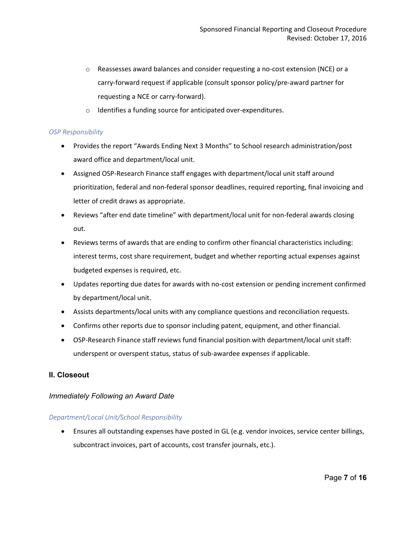- o Reassesses award balances and consider requesting a no‐cost extension (NCE) or a carry‐forward request if applicable (consult sponsor policy/pre‐award partner for requesting a NCE or carry‐forward).
- o Identifies a funding source for anticipated over‐expenditures.

#### *OSP Responsibility*

- Provides the report "Awards Ending Next 3 Months" to School research administration/post award office and department/local unit.
- Assigned OSP‐Research Finance staff engages with department/local unit staff around prioritization, federal and non‐federal sponsor deadlines, required reporting, final invoicing and letter of credit draws as appropriate.
- Reviews "after end date timeline" with department/local unit for non‐federal awards closing out.
- Reviews terms of awards that are ending to confirm other financial characteristics including: interest terms, cost share requirement, budget and whether reporting actual expenses against budgeted expenses is required, etc.
- Updates reporting due dates for awards with no‐cost extension or pending increment confirmed by department/local unit.
- Assists departments/local units with any compliance questions and reconciliation requests.
- Confirms other reports due to sponsor including patent, equipment, and other financial.
- OSP‐Research Finance staff reviews fund financial position with department/local unit staff: underspent or overspent status, status of sub‐awardee expenses if applicable.

### **II. Closeout**

### *Immediately Following an Award Date*

#### *Department/Local Unit/School Responsibility*

• Ensures all outstanding expenses have posted in GL (e.g. vendor invoices, service center billings, subcontract invoices, part of accounts, cost transfer journals, etc.).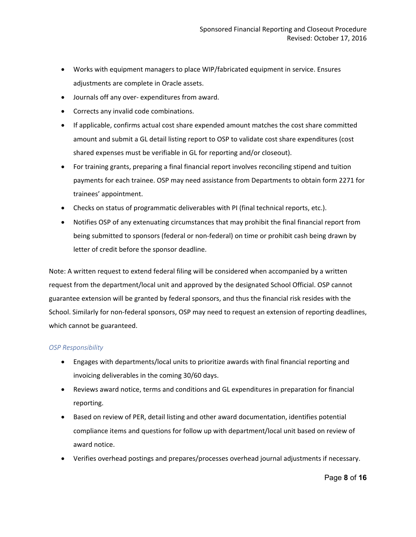- Works with equipment managers to place WIP/fabricated equipment in service. Ensures adjustments are complete in Oracle assets.
- Journals off any over‐ expenditures from award.
- Corrects any invalid code combinations.
- If applicable, confirms actual cost share expended amount matches the cost share committed amount and submit a GL detail listing report to OSP to validate cost share expenditures (cost shared expenses must be verifiable in GL for reporting and/or closeout).
- For training grants, preparing a final financial report involves reconciling stipend and tuition payments for each trainee. OSP may need assistance from Departments to obtain form 2271 for trainees' appointment.
- Checks on status of programmatic deliverables with PI (final technical reports, etc.).
- Notifies OSP of any extenuating circumstances that may prohibit the final financial report from being submitted to sponsors (federal or non‐federal) on time or prohibit cash being drawn by letter of credit before the sponsor deadline.

Note: A written request to extend federal filing will be considered when accompanied by a written request from the department/local unit and approved by the designated School Official. OSP cannot guarantee extension will be granted by federal sponsors, and thus the financial risk resides with the School. Similarly for non‐federal sponsors, OSP may need to request an extension of reporting deadlines, which cannot be guaranteed.

#### *OSP Responsibility*

- Engages with departments/local units to prioritize awards with final financial reporting and invoicing deliverables in the coming 30/60 days.
- Reviews award notice, terms and conditions and GL expenditures in preparation for financial reporting.
- Based on review of PER, detail listing and other award documentation, identifies potential compliance items and questions for follow up with department/local unit based on review of award notice.
- Verifies overhead postings and prepares/processes overhead journal adjustments if necessary.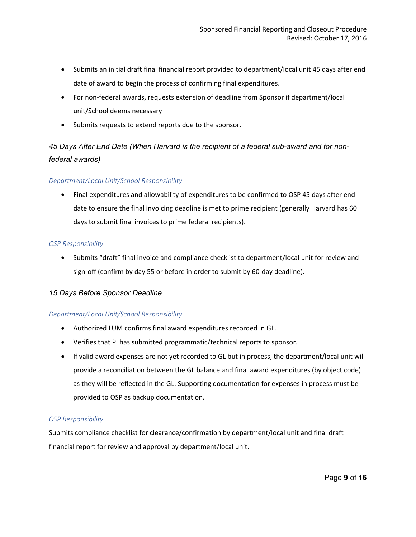- Submits an initial draft final financial report provided to department/local unit 45 days after end date of award to begin the process of confirming final expenditures.
- For non-federal awards, requests extension of deadline from Sponsor if department/local unit/School deems necessary
- Submits requests to extend reports due to the sponsor.

*45 Days After End Date (When Harvard is the recipient of a federal sub-award and for nonfederal awards)*

### *Department/Local Unit/School Responsibility*

• Final expenditures and allowability of expenditures to be confirmed to OSP 45 days after end date to ensure the final invoicing deadline is met to prime recipient (generally Harvard has 60 days to submit final invoices to prime federal recipients).

### *OSP Responsibility*

• Submits "draft" final invoice and compliance checklist to department/local unit for review and sign-off (confirm by day 55 or before in order to submit by 60-day deadline).

## *15 Days Before Sponsor Deadline*

### *Department/Local Unit/School Responsibility*

- Authorized LUM confirms final award expenditures recorded in GL.
- Verifies that PI has submitted programmatic/technical reports to sponsor.
- If valid award expenses are not yet recorded to GL but in process, the department/local unit will provide a reconciliation between the GL balance and final award expenditures (by object code) as they will be reflected in the GL. Supporting documentation for expenses in process must be provided to OSP as backup documentation.

### *OSP Responsibility*

Submits compliance checklist for clearance/confirmation by department/local unit and final draft financial report for review and approval by department/local unit.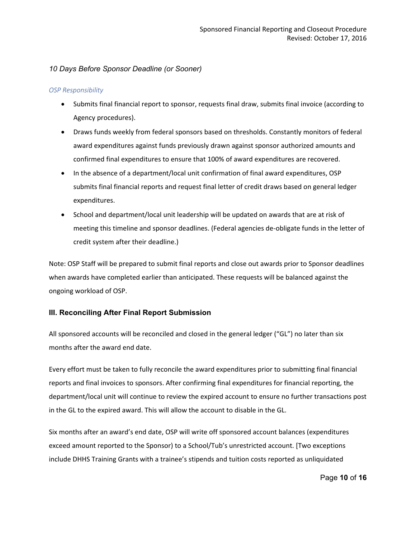## *10 Days Before Sponsor Deadline (or Sooner)*

#### *OSP Responsibility*

- Submits final financial report to sponsor, requests final draw, submits final invoice (according to Agency procedures).
- Draws funds weekly from federal sponsors based on thresholds. Constantly monitors of federal award expenditures against funds previously drawn against sponsor authorized amounts and confirmed final expenditures to ensure that 100% of award expenditures are recovered.
- In the absence of a department/local unit confirmation of final award expenditures, OSP submits final financial reports and request final letter of credit draws based on general ledger expenditures.
- School and department/local unit leadership will be updated on awards that are at risk of meeting this timeline and sponsor deadlines. (Federal agencies de‐obligate funds in the letter of credit system after their deadline.)

Note: OSP Staff will be prepared to submit final reports and close out awards prior to Sponsor deadlines when awards have completed earlier than anticipated. These requests will be balanced against the ongoing workload of OSP.

### **III. Reconciling After Final Report Submission**

All sponsored accounts will be reconciled and closed in the general ledger ("GL") no later than six months after the award end date.

Every effort must be taken to fully reconcile the award expenditures prior to submitting final financial reports and final invoices to sponsors. After confirming final expenditures for financial reporting, the department/local unit will continue to review the expired account to ensure no further transactions post in the GL to the expired award. This will allow the account to disable in the GL.

Six months after an award's end date, OSP will write off sponsored account balances (expenditures exceed amount reported to the Sponsor) to a School/Tub's unrestricted account. [Two exceptions include DHHS Training Grants with a trainee's stipends and tuition costs reported as unliquidated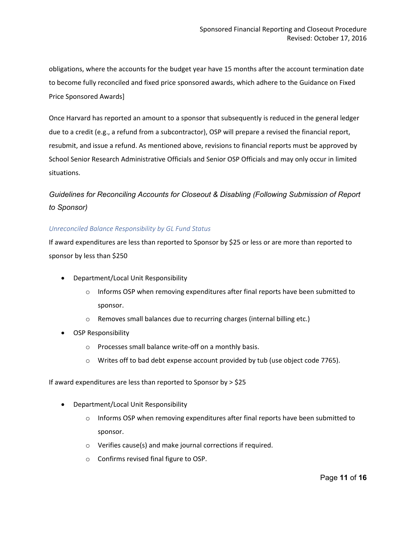obligations, where the accounts for the budget year have 15 months after the account termination date to become fully reconciled and fixed price sponsored awards, which adhere to the Guidance on Fixed Price Sponsored Awards]

Once Harvard has reported an amount to a sponsor that subsequently is reduced in the general ledger due to a credit (e.g., a refund from a subcontractor), OSP will prepare a revised the financial report, resubmit, and issue a refund. As mentioned above, revisions to financial reports must be approved by School Senior Research Administrative Officials and Senior OSP Officials and may only occur in limited situations.

## *Guidelines for Reconciling Accounts for Closeout & Disabling (Following Submission of Report to Sponsor)*

#### *Unreconciled Balance Responsibility by GL Fund Status*

If award expenditures are less than reported to Sponsor by \$25 or less or are more than reported to sponsor by less than \$250

- Department/Local Unit Responsibility
	- $\circ$  Informs OSP when removing expenditures after final reports have been submitted to sponsor.
	- o Removes small balances due to recurring charges (internal billing etc.)
- OSP Responsibility
	- o Processes small balance write‐off on a monthly basis.
	- $\circ$  Writes off to bad debt expense account provided by tub (use object code 7765).

If award expenditures are less than reported to Sponsor by > \$25

- Department/Local Unit Responsibility
	- $\circ$  Informs OSP when removing expenditures after final reports have been submitted to sponsor.
	- o Verifies cause(s) and make journal corrections if required.
	- o Confirms revised final figure to OSP.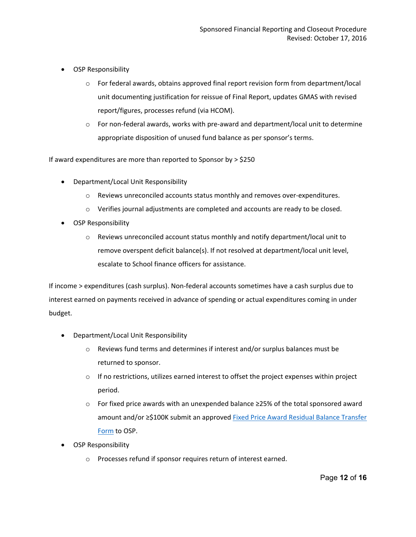- OSP Responsibility
	- $\circ$  For federal awards, obtains approved final report revision form from department/local unit documenting justification for reissue of Final Report, updates GMAS with revised report/figures, processes refund (via HCOM).
	- o For non‐federal awards, works with pre‐award and department/local unit to determine appropriate disposition of unused fund balance as per sponsor's terms.

If award expenditures are more than reported to Sponsor by > \$250

- Department/Local Unit Responsibility
	- o Reviews unreconciled accounts status monthly and removes over‐expenditures.
	- o Verifies journal adjustments are completed and accounts are ready to be closed.
- OSP Responsibility
	- $\circ$  Reviews unreconciled account status monthly and notify department/local unit to remove overspent deficit balance(s). If not resolved at department/local unit level, escalate to School finance officers for assistance.

If income > expenditures (cash surplus). Non‐federal accounts sometimes have a cash surplus due to interest earned on payments received in advance of spending or actual expenditures coming in under budget.

- Department/Local Unit Responsibility
	- o Reviews fund terms and determines if interest and/or surplus balances must be returned to sponsor.
	- $\circ$  If no restrictions, utilizes earned interest to offset the project expenses within project period.
	- o For fixed price awards with an unexpended balance ≥25% of the total sponsored award amount and/or ≥\$100K submit an approved [Fixed Price Award Residual Balance Transfer](https://osp.finance.harvard.edu/files/fixed_price_award_residual_balance_transfer_form_october_2020.pdf)  [Form](https://osp.finance.harvard.edu/files/fixed_price_award_residual_balance_transfer_form_october_2020.pdf) to OSP.
- OSP Responsibility
	- o Processes refund if sponsor requires return of interest earned.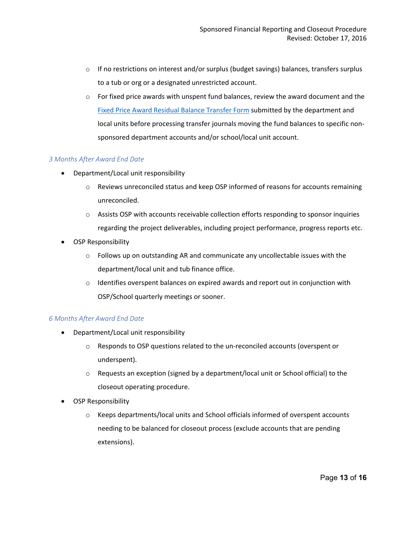- $\circ$  If no restrictions on interest and/or surplus (budget savings) balances, transfers surplus to a tub or org or a designated unrestricted account.
- $\circ$  For fixed price awards with unspent fund balances, review the award document and the [Fixed Price Award Residual Balance Transfer Form](https://osp.finance.harvard.edu/files/fixed_price_award_residual_balance_transfer_form_october_2020.pdf) submitted by the department and local units before processing transfer journals moving the fund balances to specific non‐ sponsored department accounts and/or school/local unit account.

#### *3 Months After Award End Date*

- Department/Local unit responsibility
	- o Reviews unreconciled status and keep OSP informed of reasons for accounts remaining unreconciled.
	- o Assists OSP with accounts receivable collection efforts responding to sponsor inquiries regarding the project deliverables, including project performance, progress reports etc.
- OSP Responsibility
	- $\circ$  Follows up on outstanding AR and communicate any uncollectable issues with the department/local unit and tub finance office.
	- $\circ$  Identifies overspent balances on expired awards and report out in conjunction with OSP/School quarterly meetings or sooner.

### *6 Months After Award End Date*

- Department/Local unit responsibility
	- o Responds to OSP questions related to the un‐reconciled accounts (overspent or underspent).
	- $\circ$  Requests an exception (signed by a department/local unit or School official) to the closeout operating procedure.
- OSP Responsibility
	- o Keeps departments/local units and School officials informed of overspent accounts needing to be balanced for closeout process (exclude accounts that are pending extensions).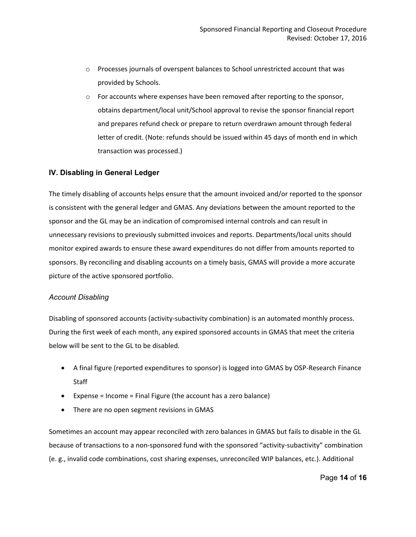- o Processes journals of overspent balances to School unrestricted account that was provided by Schools.
- $\circ$  For accounts where expenses have been removed after reporting to the sponsor, obtains department/local unit/School approval to revise the sponsor financial report and prepares refund check or prepare to return overdrawn amount through federal letter of credit. (Note: refunds should be issued within 45 days of month end in which transaction was processed.)

#### **IV. Disabling in General Ledger**

The timely disabling of accounts helps ensure that the amount invoiced and/or reported to the sponsor is consistent with the general ledger and GMAS. Any deviations between the amount reported to the sponsor and the GL may be an indication of compromised internal controls and can result in unnecessary revisions to previously submitted invoices and reports. Departments/local units should monitor expired awards to ensure these award expenditures do not differ from amounts reported to sponsors. By reconciling and disabling accounts on a timely basis, GMAS will provide a more accurate picture of the active sponsored portfolio.

#### *Account Disabling*

Disabling of sponsored accounts (activity‐subactivity combination) is an automated monthly process. During the first week of each month, any expired sponsored accounts in GMAS that meet the criteria below will be sent to the GL to be disabled.

- A final figure (reported expenditures to sponsor) is logged into GMAS by OSP-Research Finance **Staff**
- Expense = Income = Final Figure (the account has a zero balance)
- There are no open segment revisions in GMAS

Sometimes an account may appear reconciled with zero balances in GMAS but fails to disable in the GL because of transactions to a non-sponsored fund with the sponsored "activity-subactivity" combination (e. g., invalid code combinations, cost sharing expenses, unreconciled WIP balances, etc.). Additional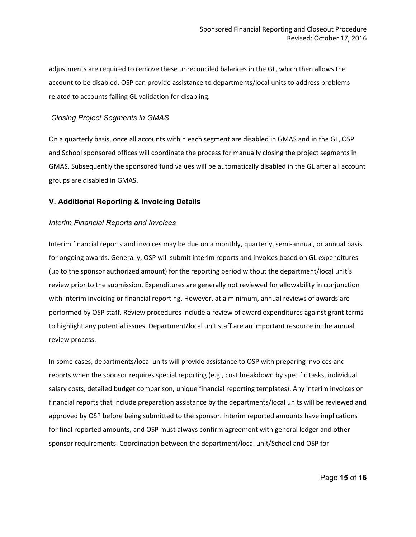adjustments are required to remove these unreconciled balances in the GL, which then allows the account to be disabled. OSP can provide assistance to departments/local units to address problems related to accounts failing GL validation for disabling.

#### *Closing Project Segments in GMAS*

On a quarterly basis, once all accounts within each segment are disabled in GMAS and in the GL, OSP and School sponsored offices will coordinate the process for manually closing the project segments in GMAS. Subsequently the sponsored fund values will be automatically disabled in the GL after all account groups are disabled in GMAS.

#### **V. Additional Reporting & Invoicing Details**

#### *Interim Financial Reports and Invoices*

Interim financial reports and invoices may be due on a monthly, quarterly, semi‐annual, or annual basis for ongoing awards. Generally, OSP will submit interim reports and invoices based on GL expenditures (up to the sponsor authorized amount) for the reporting period without the department/local unit's review prior to the submission. Expenditures are generally not reviewed for allowability in conjunction with interim invoicing or financial reporting. However, at a minimum, annual reviews of awards are performed by OSP staff. Review procedures include a review of award expenditures against grant terms to highlight any potential issues. Department/local unit staff are an important resource in the annual review process.

In some cases, departments/local units will provide assistance to OSP with preparing invoices and reports when the sponsor requires special reporting (e.g., cost breakdown by specific tasks, individual salary costs, detailed budget comparison, unique financial reporting templates). Any interim invoices or financial reports that include preparation assistance by the departments/local units will be reviewed and approved by OSP before being submitted to the sponsor. Interim reported amounts have implications for final reported amounts, and OSP must always confirm agreement with general ledger and other sponsor requirements. Coordination between the department/local unit/School and OSP for